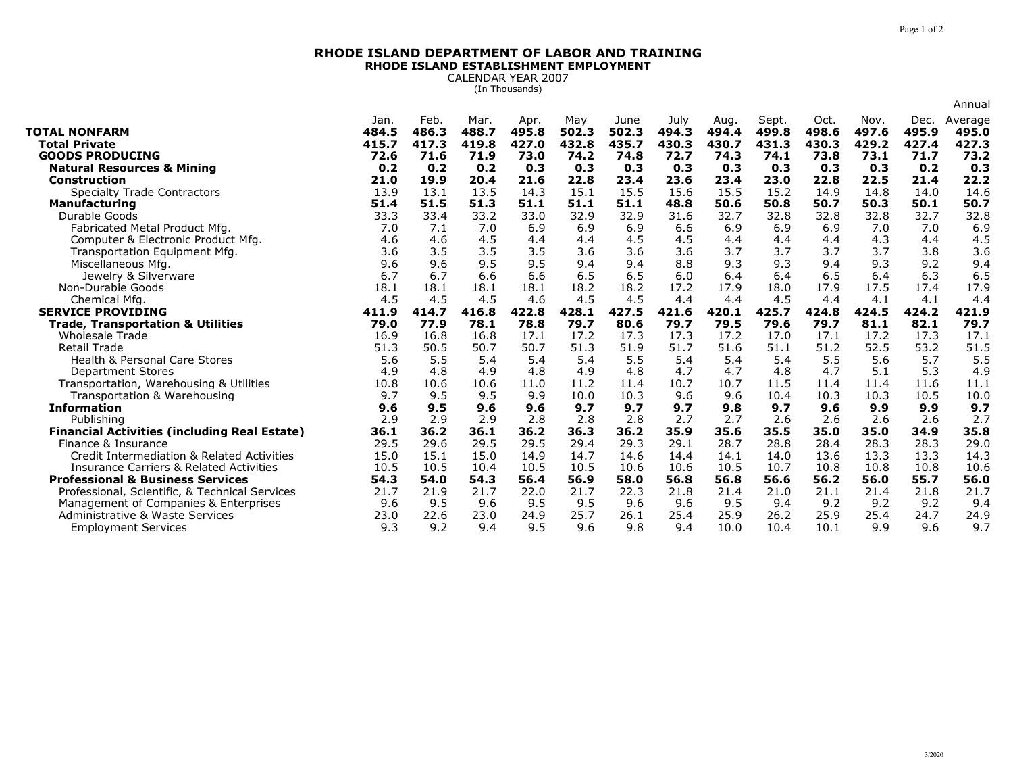## **RHODE ISLAND DEPARTMENT OF LABOR AND TRAININGRHODE ISLAND ESTABLISHMENT EMPLOYMENT**

CALENDAR YEAR 2007 (In Thousands)

|                                                               |               |               |               |               |              |               |               |               |                |               |               |               | Annual           |
|---------------------------------------------------------------|---------------|---------------|---------------|---------------|--------------|---------------|---------------|---------------|----------------|---------------|---------------|---------------|------------------|
| <b>TOTAL NONFARM</b>                                          | Jan.<br>484.5 | Feb.<br>486.3 | Mar.<br>488.7 | Apr.<br>495.8 | May<br>502.3 | June<br>502.3 | July<br>494.3 | Aug.<br>494.4 | Sept.<br>499.8 | Oct.<br>498.6 | Nov.<br>497.6 | Dec.<br>495.9 | Average<br>495.0 |
| <b>Total Private</b>                                          | 415.7         | 417.3         | 419.8         | 427.0         | 432.8        | 435.7         | 430.3         | 430.7         | 431.3          | 430.3         | 429.2         | 427.4         | 427.3            |
| <b>GOODS PRODUCING</b>                                        | 72.6          | 71.6          | 71.9          | 73.0          | 74.2         | 74.8          | 72.7          | 74.3          | 74.1           | 73.8          | 73.1          | 71.7          | 73.2             |
| <b>Natural Resources &amp; Mining</b>                         | 0.2           | 0.2           | 0.2           | 0.3           | 0.3          | 0.3           | 0.3           | 0.3           | 0.3            | 0.3           | 0.3           | 0.2           | 0.3              |
| <b>Construction</b>                                           | 21.0          | 19.9          | 20.4          | 21.6          | 22.8         | 23.4          | 23.6          | 23.4          | 23.0           | 22.8          | 22.5          | 21.4          | 22.2             |
| <b>Specialty Trade Contractors</b>                            | 13.9          | 13.1          | 13.5          | 14.3          | 15.1         | 15.5          | 15.6          | 15.5          | 15.2           | 14.9          | 14.8          | 14.0          | 14.6             |
| <b>Manufacturing</b>                                          | 51.4          | 51.5          | 51.3          | 51.1          | 51.1         | 51.1          | 48.8          | 50.6          | 50.8           | 50.7          | 50.3          | 50.1          | 50.7             |
| Durable Goods                                                 | 33.3          | 33.4          | 33.2          | 33.0          | 32.9         | 32.9          | 31.6          | 32.7          | 32.8           | 32.8          | 32.8          | 32.7          | 32.8             |
| Fabricated Metal Product Mfg.                                 | 7.0           | 7.1           | 7.0           | 6.9           | 6.9          | 6.9           | 6.6           | 6.9           | 6.9            | 6.9           | 7.0           | 7.0           | 6.9              |
| Computer & Electronic Product Mfg.                            | 4.6           | 4.6           | 4.5           | 4.4           | 4.4          | 4.5           | 4.5           | 4.4           | 4.4            | 4.4           | 4.3           | 4.4           | 4.5              |
| Transportation Equipment Mfg.                                 | 3.6           | 3.5           | 3.5           | 3.5           | 3.6          | 3.6           | 3.6           | 3.7           | 3.7            | 3.7           | 3.7           | 3.8           | 3.6              |
| Miscellaneous Mfg.                                            | 9.6           | 9.6           | 9.5           | 9.5           | 9.4          | 9.4           | 8.8           | 9.3           | 9.3            | 9.4           | 9.3           | 9.2           | 9.4              |
| Jewelry & Silverware                                          | 6.7           | 6.7           | 6.6           | 6.6           | 6.5          | 6.5           | 6.0           | 6.4           | 6.4            | 6.5           | 6.4           | 6.3           | 6.5              |
| Non-Durable Goods                                             | 18.1          | 18.1          | 18.1          | 18.1          | 18.2         | 18.2          | 17.2          | 17.9          | 18.0           | 17.9          | 17.5          | 17.4          | 17.9             |
| Chemical Mfg.                                                 | 4.5           | 4.5           | 4.5           | 4.6           | 4.5          | 4.5           | 4.4           | 4.4           | 4.5            | 4.4           | 4.1           | 4.1           | 4.4              |
| <b>SERVICE PROVIDING</b>                                      | 411.9         | 414.7         | 416.8         | 422.8         | 428.1        | 427.5         | 421.6         | 420.1         | 425.7          | 424.8         | 424.5         | 424.2         | 421.9            |
| <b>Trade, Transportation &amp; Utilities</b>                  | 79.0          | 77.9          | 78.1          | 78.8          | 79.7         | 80.6          | 79.7          | 79.5          | 79.6           | 79.7          | 81.1          | 82.1          | 79.7             |
| <b>Wholesale Trade</b>                                        | 16.9          | 16.8          | 16.8          | 17.1          | 17.2         | 17.3          | 17.3          | 17.2          | 17.0           | 17.1          | 17.2          | 17.3          | 17.1             |
|                                                               |               |               |               |               |              |               |               |               |                |               |               |               |                  |
| <b>Retail Trade</b>                                           | 51.3          | 50.5          | 50.7          | 50.7          | 51.3         | 51.9          | 51.7          | 51.6          | 51.1           | 51.2          | 52.5          | 53.2          | 51.5             |
| <b>Health &amp; Personal Care Stores</b>                      | 5.6           | 5.5           | 5.4           | 5.4           | 5.4          | 5.5           | 5.4           | 5.4           | 5.4            | 5.5           | 5.6           | 5.7           | 5.5              |
| <b>Department Stores</b>                                      | 4.9           | 4.8           | 4.9           | 4.8           | 4.9          | 4.8           | 4.7           | 4.7           | 4.8            | 4.7           | 5.1           | 5.3           | 4.9              |
| Transportation, Warehousing & Utilities                       | 10.8          | 10.6          | 10.6          | 11.0          | 11.2         | 11.4          | 10.7          | 10.7          | 11.5           | 11.4          | 11.4          | 11.6          | 11.1             |
| Transportation & Warehousing                                  | 9.7           | 9.5           | 9.5           | 9.9           | 10.0         | 10.3          | 9.6           | 9.6           | 10.4           | 10.3          | 10.3          | 10.5          | 10.0             |
| <b>Information</b>                                            | 9.6           | 9.5           | 9.6           | 9.6           | 9.7          | 9.7           | 9.7           | 9.8           | 9.7            | 9.6           | 9.9           | 9.9           | 9.7              |
| Publishing                                                    | 2.9           | 2.9           | 2.9           | 2.8           | 2.8          | 2.8           | 2.7           | 2.7           | 2.6            | 2.6           | 2.6           | 2.6           | 2.7              |
| <b>Financial Activities (including Real Estate)</b>           | 36.1          | 36.2          | 36.1          | 36.2          | 36.3         | 36.2          | 35.9          | 35.6          | 35.5           | 35.0          | 35.0          | 34.9          | 35.8             |
| Finance & Insurance                                           | 29.5          | 29.6          | 29.5          | 29.5          | 29.4         | 29.3          | 29.1          | 28.7          | 28.8           | 28.4          | 28.3          | 28.3          | 29.0             |
| Credit Intermediation & Related Activities                    | 15.0          | 15.1          | 15.0          | 14.9          | 14.7         | 14.6          | 14.4          | 14.1          | 14.0           | 13.6          | 13.3          | 13.3          | 14.3             |
| <b>Insurance Carriers &amp; Related Activities</b>            | 10.5          | 10.5          | 10.4          | 10.5          | 10.5         | 10.6          | 10.6          | 10.5          | 10.7           | 10.8          | 10.8          | 10.8          | 10.6             |
| <b>Professional &amp; Business Services</b>                   | 54.3          | 54.0          | 54.3          | 56.4          | 56.9         | 58.0          | 56.8          | 56.8          | 56.6           | 56.2          | 56.0          | 55.7          | 56.0             |
| Professional, Scientific, & Technical Services                | 21.7          | 21.9          | 21.7          | 22.0          | 21.7         | 22.3          | 21.8          | 21.4          | 21.0           | 21.1          | 21.4          | 21.8          | 21.7             |
| Management of Companies & Enterprises                         | 9.6           | 9.5           | 9.6           | 9.5           | 9.5          | 9.6           | 9.6           | 9.5           | 9.4            | 9.2           | 9.2           | 9.2           | 9.4              |
| Administrative & Waste Services<br><b>Employment Services</b> | 23.0<br>9.3   | 22.6<br>9.2   | 23.0<br>9.4   | 24.9<br>9.5   | 25.7<br>9.6  | 26.1<br>9.8   | 25.4<br>9.4   | 25.9<br>10.0  | 26.2<br>10.4   | 25.9<br>10.1  | 25.4<br>9.9   | 24.7<br>9.6   | 24.9<br>9.7      |